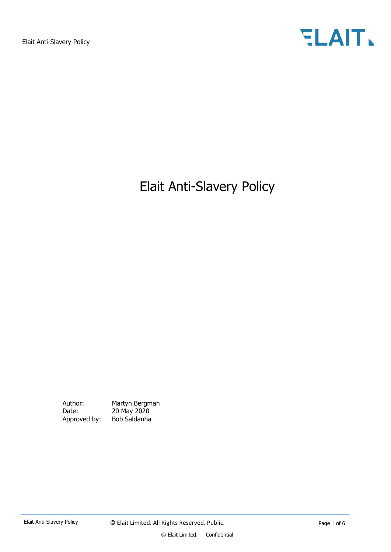

# Elait Anti-Slavery Policy

Author: Martyn Bergman Date: 20 May 2020<br>Approved by: Bob Saldanha Approved by: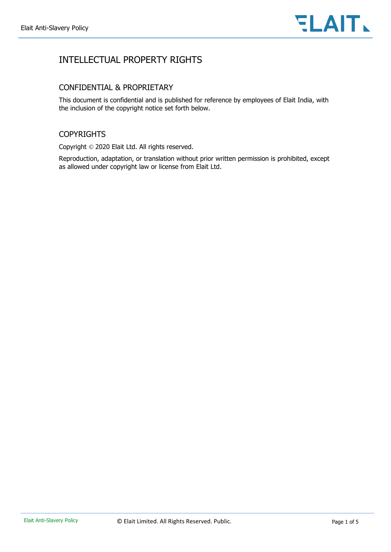

## INTELLECTUAL PROPERTY RIGHTS

### CONFIDENTIAL & PROPRIETARY

This document is confidential and is published for reference by employees of Elait India, with the inclusion of the copyright notice set forth below.

### **COPYRIGHTS**

Copyright © 2020 Elait Ltd. All rights reserved.

Reproduction, adaptation, or translation without prior written permission is prohibited, except as allowed under copyright law or license from Elait Ltd.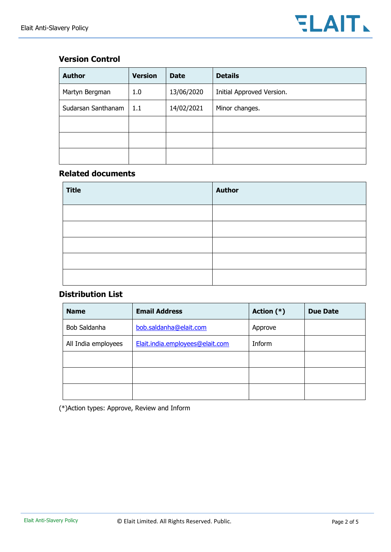### **Version Control**

| <b>Author</b>      | <b>Version</b> | <b>Date</b> | <b>Details</b>            |
|--------------------|----------------|-------------|---------------------------|
| Martyn Bergman     | 1.0            | 13/06/2020  | Initial Approved Version. |
| Sudarsan Santhanam | 1.1            | 14/02/2021  | Minor changes.            |
|                    |                |             |                           |
|                    |                |             |                           |
|                    |                |             |                           |

### **Related documents**

| <b>Title</b> | <b>Author</b> |
|--------------|---------------|
|              |               |
|              |               |
|              |               |
|              |               |
|              |               |

### **Distribution List**

| <b>Name</b>                            | <b>Email Address</b>            | Action $(*)$ | <b>Due Date</b> |
|----------------------------------------|---------------------------------|--------------|-----------------|
| Bob Saldanha<br>bob.saldanha@elait.com |                                 | Approve      |                 |
| All India employees                    | Elait.india.employees@elait.com | Inform       |                 |
|                                        |                                 |              |                 |
|                                        |                                 |              |                 |
|                                        |                                 |              |                 |

(\*)Action types: Approve, Review and Inform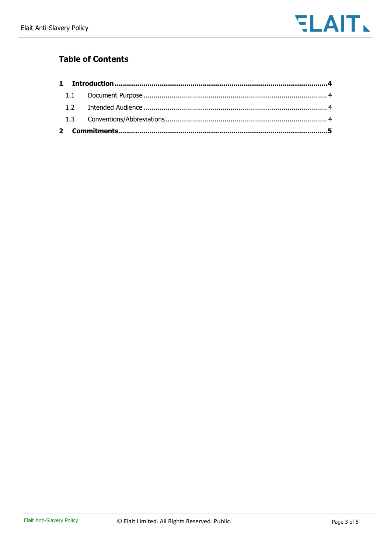

## **Table of Contents**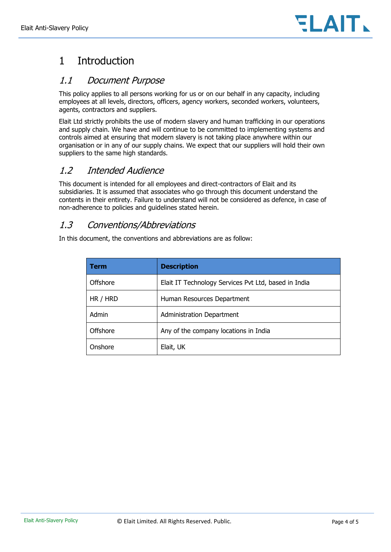

## <span id="page-4-0"></span>1 Introduction

### <span id="page-4-1"></span>1.1 Document Purpose

This policy applies to all persons working for us or on our behalf in any capacity, including employees at all levels, directors, officers, agency workers, seconded workers, volunteers, agents, contractors and suppliers.

Elait Ltd strictly prohibits the use of modern slavery and human trafficking in our operations and supply chain. We have and will continue to be committed to implementing systems and controls aimed at ensuring that modern slavery is not taking place anywhere within our organisation or in any of our supply chains. We expect that our suppliers will hold their own suppliers to the same high standards.

## <span id="page-4-2"></span>1.2 Intended Audience

This document is intended for all employees and direct-contractors of Elait and its subsidiaries. It is assumed that associates who go through this document understand the contents in their entirety. Failure to understand will not be considered as defence, in case of non-adherence to policies and guidelines stated herein.

## <span id="page-4-3"></span>1.3 Conventions/Abbreviations

In this document, the conventions and abbreviations are as follow:

| <b>Term</b> | <b>Description</b>                                   |  |
|-------------|------------------------------------------------------|--|
| Offshore    | Elait IT Technology Services Pvt Ltd, based in India |  |
| HR / HRD    | Human Resources Department                           |  |
| Admin       | <b>Administration Department</b>                     |  |
| Offshore    | Any of the company locations in India                |  |
| Onshore     | Elait, UK                                            |  |